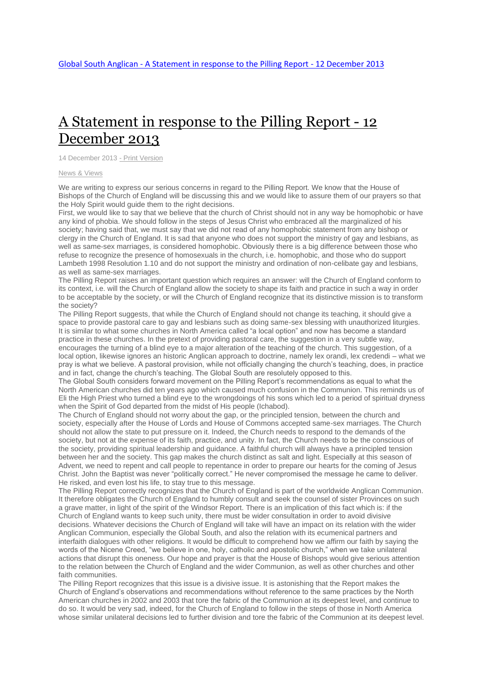## A [Statement](http://www.globalsouthanglican.org/index.php/blog/comments/a_statement_in_response_to_the_pilling_report_12_december_2013) in response to the Pilling Report - 12 [December](http://www.globalsouthanglican.org/index.php/blog/comments/a_statement_in_response_to_the_pilling_report_12_december_2013) 2013

14 December 2013 - Print [Version](http://globalsouthanglican.org/index.php/blog/printing/a_statement_in_response_to_the_pilling_report_12_december_2013)

## News & [Views](http://globalsouthanglican.org/index.php/archives/category/news_views)

We are writing to express our serious concerns in regard to the Pilling Report. We know that the House of Bishops of the Church of England will be discussing this and we would like to assure them of our prayers so that the Holy Spirit would guide them to the right decisions.

First, we would like to say that we believe that the church of Christ should not in any way be homophobic or have any kind of phobia. We should follow in the steps of Jesus Christ who embraced all the marginalized of his society; having said that, we must say that we did not read of any homophobic statement from any bishop or clergy in the Church of England. It is sad that anyone who does not support the ministry of gay and lesbians, as well as same-sex marriages, is considered homophobic. Obviously there is a big difference between those who refuse to recognize the presence of homosexuals in the church, i.e. homophobic, and those who do support Lambeth 1998 Resolution 1.10 and do not support the ministry and ordination of non-celibate gay and lesbians, as well as same-sex marriages.

The Pilling Report raises an important question which requires an answer: will the Church of England conform to its context, i.e. will the Church of England allow the society to shape its faith and practice in such a way in order to be acceptable by the society, or will the Church of England recognize that its distinctive mission is to transform the society?

The Pilling Report suggests, that while the Church of England should not change its teaching, it should give a space to provide pastoral care to gay and lesbians such as doing same-sex blessing with unauthorized liturgies. It is similar to what some churches in North America called "a local option" and now has become a standard practice in these churches. In the pretext of providing pastoral care, the suggestion in a very subtle way, encourages the turning of a blind eye to a major alteration of the teaching of the church. This suggestion, of a local option, likewise ignores an historic Anglican approach to doctrine, namely lex orandi, lex credendi – what we pray is what we believe. A pastoral provision, while not officially changing the church's teaching, does, in practice and in fact, change the church's teaching. The Global South are resolutely opposed to this.

The Global South considers forward movement on the Pilling Report's recommendations as equal to what the North American churches did ten years ago which caused much confusion in the Communion. This reminds us of Eli the High Priest who turned a blind eye to the wrongdoings of his sons which led to a period of spiritual dryness when the Spirit of God departed from the midst of His people (Ichabod).

The Church of England should not worry about the gap, or the principled tension, between the church and society, especially after the House of Lords and House of Commons accepted same-sex marriages. The Church should not allow the state to put pressure on it. Indeed, the Church needs to respond to the demands of the society, but not at the expense of its faith, practice, and unity. In fact, the Church needs to be the conscious of the society, providing spiritual leadership and guidance. A faithful church will always have a principled tension between her and the society. This gap makes the church distinct as salt and light. Especially at this season of Advent, we need to repent and call people to repentance in order to prepare our hearts for the coming of Jesus Christ. John the Baptist was never "politically correct." He never compromised the message he came to deliver. He risked, and even lost his life, to stay true to this message.

The Pilling Report correctly recognizes that the Church of England is part of the worldwide Anglican Communion. It therefore obligates the Church of England to humbly consult and seek the counsel of sister Provinces on such a grave matter, in light of the spirit of the Windsor Report. There is an implication of this fact which is: if the Church of England wants to keep such unity, there must be wider consultation in order to avoid divisive decisions. Whatever decisions the Church of England will take will have an impact on its relation with the wider Anglican Communion, especially the Global South, and also the relation with its ecumenical partners and interfaith dialogues with other religions. It would be difficult to comprehend how we affirm our faith by saying the words of the Nicene Creed, "we believe in one, holy, catholic and apostolic church," when we take unilateral actions that disrupt this oneness. Our hope and prayer is that the House of Bishops would give serious attention to the relation between the Church of England and the wider Communion, as well as other churches and other faith communities.

The Pilling Report recognizes that this issue is a divisive issue. It is astonishing that the Report makes the Church of England's observations and recommendations without reference to the same practices by the North American churches in 2002 and 2003 that tore the fabric of the Communion at its deepest level, and continue to do so. It would be very sad, indeed, for the Church of England to follow in the steps of those in North America whose similar unilateral decisions led to further division and tore the fabric of the Communion at its deepest level.